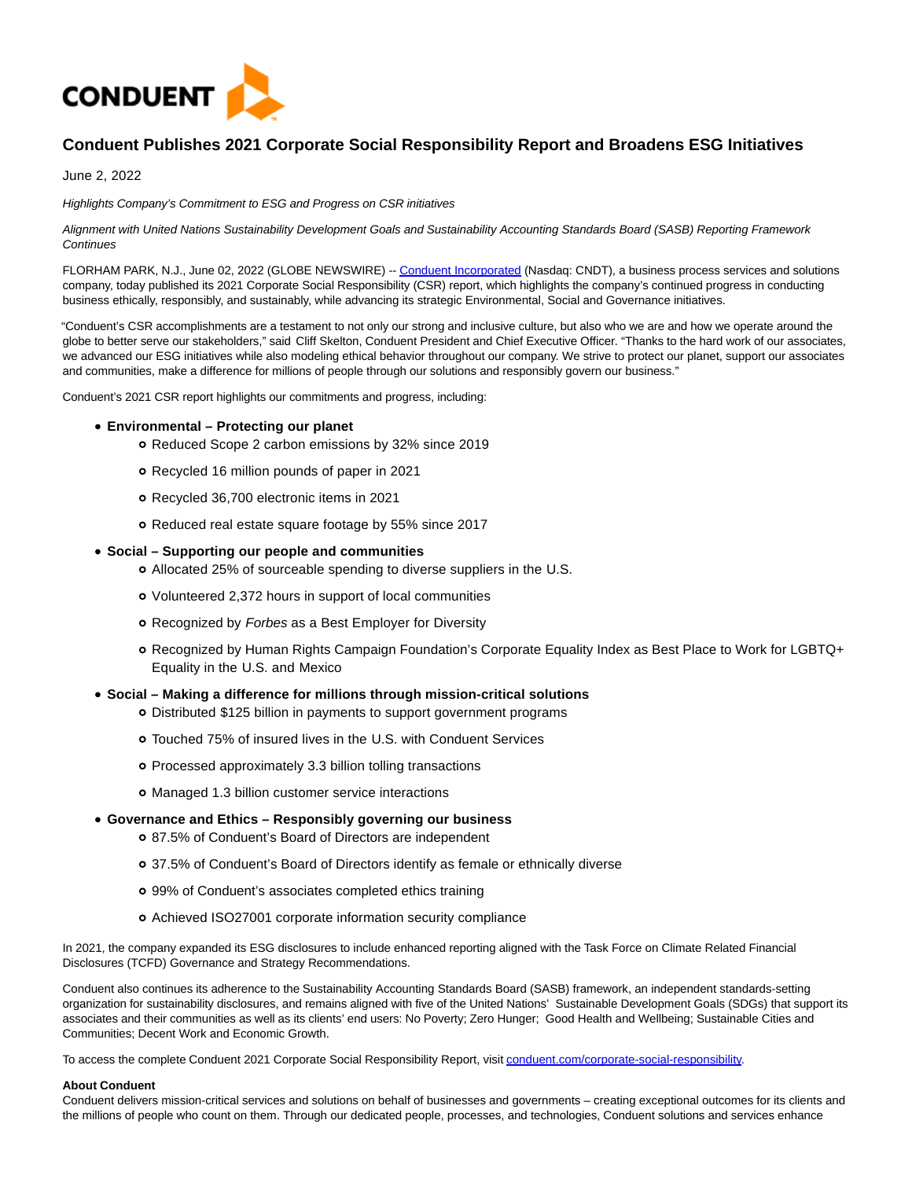

# **Conduent Publishes 2021 Corporate Social Responsibility Report and Broadens ESG Initiatives**

June 2, 2022

Highlights Company's Commitment to ESG and Progress on CSR initiatives

Alignment with United Nations Sustainability Development Goals and Sustainability Accounting Standards Board (SASB) Reporting Framework **Continues** 

FLORHAM PARK, N.J., June 02, 2022 (GLOBE NEWSWIRE) -[- Conduent Incorporated \(](https://www.globenewswire.com/Tracker?data=EEXo39U2qeGZ8wTkIoPLjpBl23kWwLPd-eKUbM4Fryg2MgIV920uuLGw20-mFRKgmMCPVMZuy5b8bNvc5IzxO5QGS2dJ3Vw0JAlcWZqDOFA=)Nasdaq: CNDT), a business process services and solutions company, today published its 2021 Corporate Social Responsibility (CSR) report, which highlights the company's continued progress in conducting business ethically, responsibly, and sustainably, while advancing its strategic Environmental, Social and Governance initiatives.

"Conduent's CSR accomplishments are a testament to not only our strong and inclusive culture, but also who we are and how we operate around the globe to better serve our stakeholders," said Cliff Skelton, Conduent President and Chief Executive Officer. "Thanks to the hard work of our associates, we advanced our ESG initiatives while also modeling ethical behavior throughout our company. We strive to protect our planet, support our associates and communities, make a difference for millions of people through our solutions and responsibly govern our business."

Conduent's 2021 CSR report highlights our commitments and progress, including:

## **Environmental – Protecting our planet**

- o Reduced Scope 2 carbon emissions by 32% since 2019
- Recycled 16 million pounds of paper in 2021
- Recycled 36,700 electronic items in 2021
- o Reduced real estate square footage by 55% since 2017

# **Social – Supporting our people and communities**

- Allocated 25% of sourceable spending to diverse suppliers in the U.S.
- Volunteered 2,372 hours in support of local communities
- o Recognized by Forbes as a Best Employer for Diversity
- Recognized by Human Rights Campaign Foundation's Corporate Equality Index as Best Place to Work for LGBTQ+ Equality in the U.S. and Mexico

# **Social – Making a difference for millions through mission-critical solutions**

- Distributed \$125 billion in payments to support government programs
- Touched 75% of insured lives in the U.S. with Conduent Services
- Processed approximately 3.3 billion tolling transactions
- o Managed 1.3 billion customer service interactions
- **Governance and Ethics Responsibly governing our business**
	- 87.5% of Conduent's Board of Directors are independent
	- 37.5% of Conduent's Board of Directors identify as female or ethnically diverse
	- 99% of Conduent's associates completed ethics training
	- Achieved ISO27001 corporate information security compliance

In 2021, the company expanded its ESG disclosures to include enhanced reporting aligned with the Task Force on Climate Related Financial Disclosures (TCFD) Governance and Strategy Recommendations.

Conduent also continues its adherence to the Sustainability Accounting Standards Board (SASB) framework, an independent standards-setting organization for sustainability disclosures, and remains aligned with five of the United Nations' Sustainable Development Goals (SDGs) that support its associates and their communities as well as its clients' end users: No Poverty; Zero Hunger; Good Health and Wellbeing; Sustainable Cities and Communities; Decent Work and Economic Growth.

To access the complete Conduent 2021 Corporate Social Responsibility Report, visi[t conduent.com/corporate-social-responsibility.](https://www.globenewswire.com/Tracker?data=MNHRo2wTl-O3lTEFkjH_TcRZh5OaSEyQ6w0hcbnntvquSIDlv6-lGrykhton2IkBVrnvST-eWqR6-SKWngk3OLlt-YyJ-c7RbggPdjSYh7vxfbgRPZOmmGLrPOqKFIik44VZacR3DHdKfBEzZVp6onlgLlb47xI8weRPe0UsriI=)

# **About Conduent**

Conduent delivers mission-critical services and solutions on behalf of businesses and governments – creating exceptional outcomes for its clients and the millions of people who count on them. Through our dedicated people, processes, and technologies, Conduent solutions and services enhance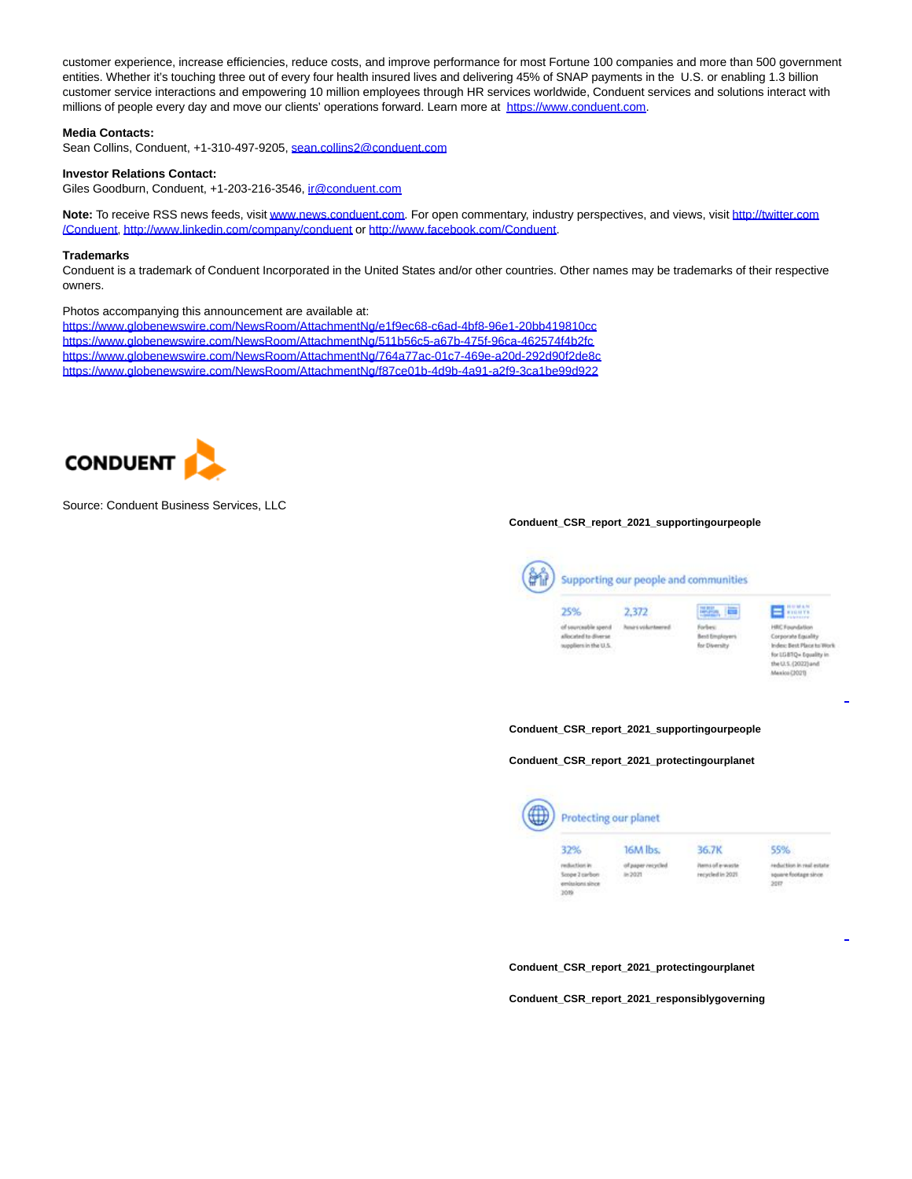customer experience, increase efficiencies, reduce costs, and improve performance for most Fortune 100 companies and more than 500 government entities. Whether it's touching three out of every four health insured lives and delivering 45% of SNAP payments in the U.S. or enabling 1.3 billion customer service interactions and empowering 10 million employees through HR services worldwide, Conduent services and solutions interact with millions of people every day and move our clients' operations forward. Learn more at [https://www.conduent.com.](https://www.globenewswire.com/Tracker?data=hanVn8WSCYHzfA-vfV-3ex74ULTBnWSgbrzp4a8H2sCLlIWwPoOnauo4wbaN_hGWvt3vkrWF9zg7iM3cct_pWffym1KNszfIdCBOkTljAgI=)

### **Media Contacts:**

Sean Collins, Conduent, +1-310-497-9205, [sean.collins2@conduent.com](https://www.globenewswire.com/Tracker?data=qJqTz6gcCGjivYnJLd15YLhFQxdbL212uXOpFacILnGZ3rpTz7sHasAXzQIYaUlQ2jlarNxKR7mTFLyU2PcsS6XzZcme-aeXCquafHdTb8me1x8gjZLiQBcyooqN8B7f)

## **Investor Relations Contact:**

Giles Goodburn, Conduent, +1-203-216-3546, [ir@conduent.com](https://www.globenewswire.com/Tracker?data=2f1kS1IIa8_fAJzO8vrBm5rbod1ejmrAKvftSZacRBylquPzmiH67bS5C8VU3EUEFKyCYSosiCxXRy_SbSMD1g==)

Note: To receive RSS news feeds, visi[t www.news.conduent.com.](https://www.globenewswire.com/Tracker?data=c0u_Z6EnWNeidAnoZcZLuTPgdjdhWKde4Sn99hu0Pj-rpZtKyW0436XwY7Z05IJ_wUQtp8OwSFn0wM5Igb4SFZkgD37c5Si6A9VshVDihyc=) For open commentary, industry perspectives, and views, visit [http://twitter.com](https://www.globenewswire.com/Tracker?data=CKJH6a5CoBUiqZ_vQnvhTQTTU71YpBkZ30PHdmrmd7CitUmKG8Sot0RdOTd_mMyHqSZK8bnbaYeujV99urUvI7PwruVaN4hhNaD0XAw4bAM=) /Conduent[, http://www.linkedin.com/company/conduent o](https://www.globenewswire.com/Tracker?data=CKJH6a5CoBUiqZ_vQnvhTdze7cGu7yturg_7MzSfAzhcaclGcFwTZVMyskKLeOgpfDib8OMU30Rf7KjmBlrp6ecc5L3ODRbFM9OoKZ8fZ0BCcthQqb6du7N4x6OVrPsHQ3S5Vs25t13Zj5WUwljlbA==)r [http://www.facebook.com/Conduent.](https://www.globenewswire.com/Tracker?data=CKJH6a5CoBUiqZ_vQnvhTTjoWXOBj_XTCNC8ewwgW83watkTUvlFqEuXnucznhQsIZs672SxwFfW4o-vwDVq8H9GBl6DQhPx6Zd3CwsITbmDJp15qgjwn1UpxfUoGwl2)

#### **Trademarks**

Conduent is a trademark of Conduent Incorporated in the United States and/or other countries. Other names may be trademarks of their respective owners.

#### Photos accompanying this announcement are available at:

[https://www.globenewswire.com/NewsRoom/AttachmentNg/e1f9ec68-c6ad-4bf8-96e1-20bb419810cc](https://www.globenewswire.com/Tracker?data=hanVn8WSCYHzfA-vfV-3e3zqthVrQCE5LKd7PQVLFITvjPpuROnGBJLX6f0L9CAZhPnn-CPyJx42xOmhyF5yM1Um3zC_cRd4kCgS-vnSOF-XpLAgdpfcNVJoz16_FgmHBiAxisy_DjlPh-HdjyYzrYsx7uL9YAUIl1K6trRW-6dWjG5Bz9DK8iZYNiTFBDHg2iIP31PhHKocsbIUSUHQNx1CutZ7E4xGpF_uwXiGlucbBdQNBb3O8U37t1QbpWuoB2CS0_A3ErePK7qY8Pa3Vg==) [https://www.globenewswire.com/NewsRoom/AttachmentNg/511b56c5-a67b-475f-96ca-462574f4b2fc](https://www.globenewswire.com/Tracker?data=hanVn8WSCYHzfA-vfV-3e3zqthVrQCE5LKd7PQVLFITvjPpuROnGBJLX6f0L9CAZjQL6-CFGyRXt0IVqIWCYY4lXBHWKOAikSCAHlCxeSpYrI0dQQxCG24z-OSGIj5eY3i5PLJhxsQKytKTIOBdNaD87zPVJzLJ632pnl0ZubjbbZutiDq66Afu_v6trfO8zBcv8n7exgnPBlxnN58liH9bfwjveQqtlBbaMazV3u_l_DsuP4eFW3efk09ZUHXwq1Xh57lTdVUX6rIyUiciyMQ==) [https://www.globenewswire.com/NewsRoom/AttachmentNg/764a77ac-01c7-469e-a20d-292d90f2de8c](https://www.globenewswire.com/Tracker?data=hanVn8WSCYHzfA-vfV-3e3zqthVrQCE5LKd7PQVLFITvjPpuROnGBJLX6f0L9CAZFuUqVjKX--pnQxT5HRft44leZ5s1mLQjf9HVwMPiu4HyXLC97ZWN78I2ERiHHWwjSPLAszqIw8Xc50iVsMRJFVQLjajh9-p4Z7g6xbHoG7y0Tz0M93Pf-WoaQqyp-CQGhHJAKwmQqy8Rx8T9eWYpLekiJbTTzLG4SRATlE1IXqWMH_q7dRF9ZMojhOV4xpKzkZdk_bGX9vSs9z_a7b4deA==) [https://www.globenewswire.com/NewsRoom/AttachmentNg/f87ce01b-4d9b-4a91-a2f9-3ca1be99d922](https://www.globenewswire.com/Tracker?data=hanVn8WSCYHzfA-vfV-3e3zqthVrQCE5LKd7PQVLFITvjPpuROnGBJLX6f0L9CAZj6k8ceb4AMcKq_SF94TB2VI0KJmoXAyLNmGZwlzeaMc9hKvSrqtz2HDBGJJn-QF0ovHOSk0SAgmIApZb0lzzIlQjVh9ZxaPA7x7EqnfNbsWRRE-C9V3G2Yhw9eKEtwjo2cGaw4OEuXNWTC5dZ6b7ExlsM1y8lsaoMo5JX7Rt3SttkZbTU6kI7yOIEdXothPyiRatf4ypOrcG58yQZ4K95A==)



### Source: Conduent Business Services, LLC

#### **Conduent\_CSR\_report\_2021\_supportingourpeople**



#### **Conduent\_CSR\_report\_2021\_supportingourpeople**

**Conduent\_CSR\_report\_2021\_protectingourplanet**



**Conduent\_CSR\_report\_2021\_protectingourplanet**

**Conduent\_CSR\_report\_2021\_responsiblygoverning**